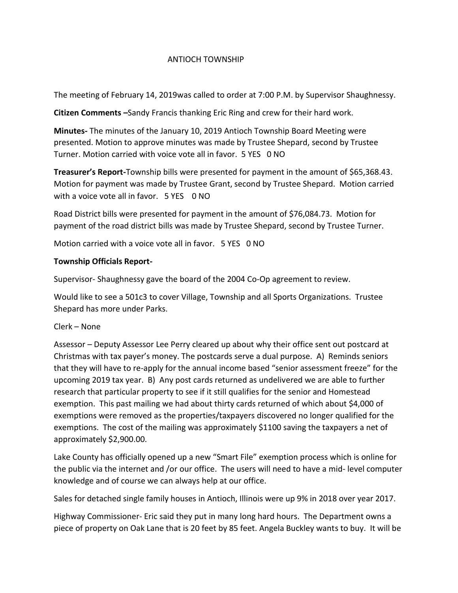## ANTIOCH TOWNSHIP

The meeting of February 14, 2019was called to order at 7:00 P.M. by Supervisor Shaughnessy.

**Citizen Comments –**Sandy Francis thanking Eric Ring and crew for their hard work.

**Minutes-** The minutes of the January 10, 2019 Antioch Township Board Meeting were presented. Motion to approve minutes was made by Trustee Shepard, second by Trustee Turner. Motion carried with voice vote all in favor. 5 YES 0 NO

**Treasurer's Report-**Township bills were presented for payment in the amount of \$65,368.43. Motion for payment was made by Trustee Grant, second by Trustee Shepard. Motion carried with a voice vote all in favor. 5 YES 0 NO

Road District bills were presented for payment in the amount of \$76,084.73. Motion for payment of the road district bills was made by Trustee Shepard, second by Trustee Turner.

Motion carried with a voice vote all in favor. 5 YES 0 NO

## **Township Officials Report-**

Supervisor- Shaughnessy gave the board of the 2004 Co-Op agreement to review.

Would like to see a 501c3 to cover Village, Township and all Sports Organizations. Trustee Shepard has more under Parks.

Clerk – None

Assessor – Deputy Assessor Lee Perry cleared up about why their office sent out postcard at Christmas with tax payer's money. The postcards serve a dual purpose. A) Reminds seniors that they will have to re-apply for the annual income based "senior assessment freeze" for the upcoming 2019 tax year. B) Any post cards returned as undelivered we are able to further research that particular property to see if it still qualifies for the senior and Homestead exemption. This past mailing we had about thirty cards returned of which about \$4,000 of exemptions were removed as the properties/taxpayers discovered no longer qualified for the exemptions. The cost of the mailing was approximately \$1100 saving the taxpayers a net of approximately \$2,900.00.

Lake County has officially opened up a new "Smart File" exemption process which is online for the public via the internet and /or our office. The users will need to have a mid- level computer knowledge and of course we can always help at our office.

Sales for detached single family houses in Antioch, Illinois were up 9% in 2018 over year 2017.

Highway Commissioner- Eric said they put in many long hard hours. The Department owns a piece of property on Oak Lane that is 20 feet by 85 feet. Angela Buckley wants to buy. It will be